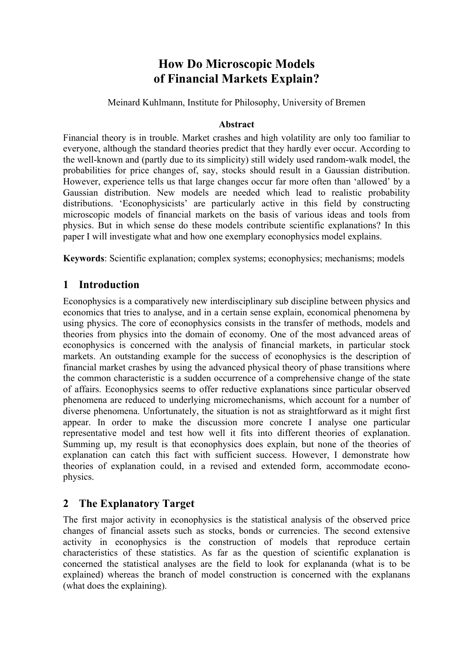# **How Do Microscopic Models of Financial Markets Explain?**

Meinard Kuhlmann, Institute for Philosophy, University of Bremen

### **Abstract**

Financial theory is in trouble. Market crashes and high volatility are only too familiar to everyone, although the standard theories predict that they hardly ever occur. According to the well-known and (partly due to its simplicity) still widely used random-walk model, the probabilities for price changes of, say, stocks should result in a Gaussian distribution. However, experience tells us that large changes occur far more often than 'allowed' by a Gaussian distribution. New models are needed which lead to realistic probability distributions. 'Econophysicists' are particularly active in this field by constructing microscopic models of financial markets on the basis of various ideas and tools from physics. But in which sense do these models contribute scientific explanations? In this paper I will investigate what and how one exemplary econophysics model explains.

**Keywords**: Scientific explanation; complex systems; econophysics; mechanisms; models

## **1 Introduction**

Econophysics is a comparatively new interdisciplinary sub discipline between physics and economics that tries to analyse, and in a certain sense explain, economical phenomena by using physics. The core of econophysics consists in the transfer of methods, models and theories from physics into the domain of economy. One of the most advanced areas of econophysics is concerned with the analysis of financial markets, in particular stock markets. An outstanding example for the success of econophysics is the description of financial market crashes by using the advanced physical theory of phase transitions where the common characteristic is a sudden occurrence of a comprehensive change of the state of affairs. Econophysics seems to offer reductive explanations since particular observed phenomena are reduced to underlying micromechanisms, which account for a number of diverse phenomena. Unfortunately, the situation is not as straightforward as it might first appear. In order to make the discussion more concrete I analyse one particular representative model and test how well it fits into different theories of explanation. Summing up, my result is that econophysics does explain, but none of the theories of explanation can catch this fact with sufficient success. However, I demonstrate how theories of explanation could, in a revised and extended form, accommodate econophysics.

## **2 The Explanatory Target**

The first major activity in econophysics is the statistical analysis of the observed price changes of financial assets such as stocks, bonds or currencies. The second extensive activity in econophysics is the construction of models that reproduce certain characteristics of these statistics. As far as the question of scientific explanation is concerned the statistical analyses are the field to look for explananda (what is to be explained) whereas the branch of model construction is concerned with the explanans (what does the explaining).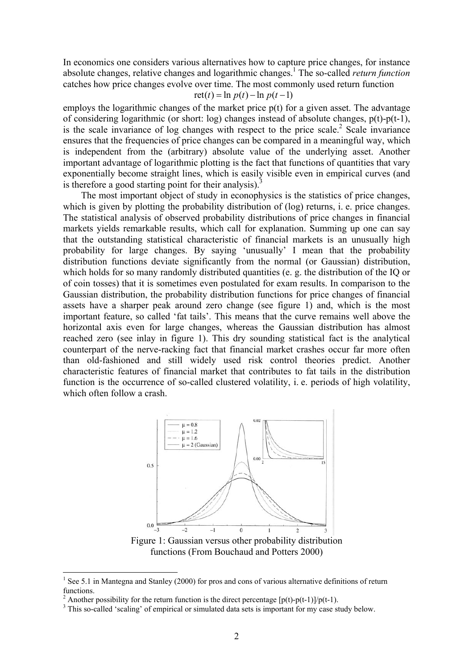In economics one considers various alternatives how to capture price changes, for instance absolute changes, relative changes and logarithmic changes[.1](#page-1-0) The so-called *return function* catches how price changes evolve over time. The most commonly used return function

$$
ret(t) = \ln p(t) - \ln p(t-1)
$$

employs the logarithmic changes of the market price p(t) for a given asset. The advantage of considering logarithmic (or short: log) changes instead of absolute changes, p(t)-p(t-1), is the scale invariance of log changes with respect to the price scale.<sup>[2](#page-1-1)</sup> Scale invariance ensures that the frequencies of price changes can be compared in a meaningful way, which is independent from the (arbitrary) absolute value of the underlying asset. Another important advantage of logarithmic plotting is the fact that functions of quantities that vary exponentially become straight lines, which is easily visible even in empirical curves (and is therefore a good starting point for their analysis).<sup>[3](#page-1-2)</sup>

The most important object of study in econophysics is the statistics of price changes, which is given by plotting the probability distribution of (log) returns, i. e. price changes. The statistical analysis of observed probability distributions of price changes in financial markets yields remarkable results, which call for explanation. Summing up one can say that the outstanding statistical characteristic of financial markets is an unusually high probability for large changes. By saying 'unusually' I mean that the probability distribution functions deviate significantly from the normal (or Gaussian) distribution, which holds for so many randomly distributed quantities (e. g. the distribution of the IQ or of coin tosses) that it is sometimes even postulated for exam results. In comparison to the Gaussian distribution, the probability distribution functions for price changes of financial assets have a sharper peak around zero change (see figure 1) and, which is the most important feature, so called 'fat tails'. This means that the curve remains well above the horizontal axis even for large changes, whereas the Gaussian distribution has almost reached zero (see inlay in figure 1). This dry sounding statistical fact is the analytical counterpart of the nerve-racking fact that financial market crashes occur far more often than old-fashioned and still widely used risk control theories predict. Another characteristic features of financial market that contributes to fat tails in the distribution function is the occurrence of so-called clustered volatility, i. e. periods of high volatility, which often follow a crash.



Figure 1: Gaussian versus other probability distribution functions (From Bouchaud and Potters 2000)

<span id="page-1-0"></span> $\frac{1}{1}$ <sup>1</sup> See 5.1 in Mantegna and Stanley (2000) for pros and cons of various alternative definitions of return functions.

<span id="page-1-1"></span>Another possibility for the return function is the direct percentage  $[p(t)-p(t-1)]/p(t-1)$ .

<span id="page-1-2"></span><sup>&</sup>lt;sup>3</sup> This so-called 'scaling' of empirical or simulated data sets is important for my case study below.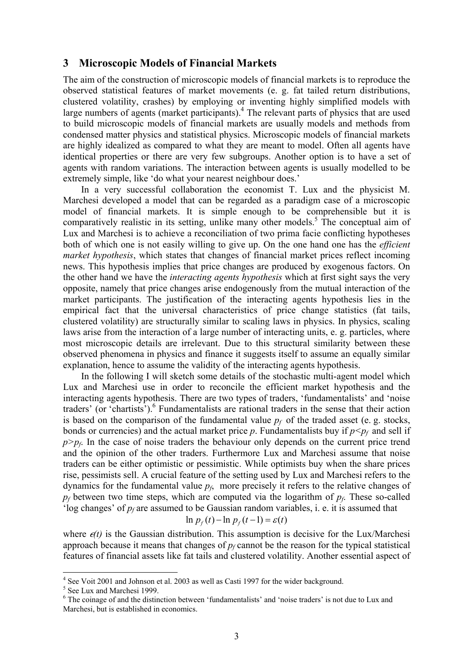### **3 Microscopic Models of Financial Markets**

The aim of the construction of microscopic models of financial markets is to reproduce the observed statistical features of market movements (e. g. fat tailed return distributions, clustered volatility, crashes) by employing or inventing highly simplified models with large numbers of agents (market participants).<sup>4</sup> The relevant parts of physics that are used to build microscopic models of financial markets are usually models and methods from condensed matter physics and statistical physics. Microscopic models of financial markets are highly idealized as compared to what they are meant to model. Often all agents have identical properties or there are very few subgroups. Another option is to have a set of agents with random variations. The interaction between agents is usually modelled to be extremely simple, like 'do what your nearest neighbour does.'

In a very successful collaboration the economist T. Lux and the physicist M. Marchesi developed a model that can be regarded as a paradigm case of a microscopic model of financial markets. It is simple enough to be comprehensible but it is comparatively realistic in its setting, unlike many other models.<sup>[5](#page-2-1)</sup> The conceptual aim of Lux and Marchesi is to achieve a reconciliation of two prima facie conflicting hypotheses both of which one is not easily willing to give up. On the one hand one has the *efficient market hypothesis*, which states that changes of financial market prices reflect incoming news. This hypothesis implies that price changes are produced by exogenous factors. On the other hand we have the *interacting agents hypothesis* which at first sight says the very opposite, namely that price changes arise endogenously from the mutual interaction of the market participants. The justification of the interacting agents hypothesis lies in the empirical fact that the universal characteristics of price change statistics (fat tails, clustered volatility) are structurally similar to scaling laws in physics. In physics, scaling laws arise from the interaction of a large number of interacting units, e. g. particles, where most microscopic details are irrelevant. Due to this structural similarity between these observed phenomena in physics and finance it suggests itself to assume an equally similar explanation, hence to assume the validity of the interacting agents hypothesis.

In the following I will sketch some details of the stochastic multi-agent model which Lux and Marchesi use in order to reconcile the efficient market hypothesis and the interacting agents hypothesis. There are two types of traders, 'fundamentalists' and 'noise traders' (or 'chartists'). [6](#page-2-2) Fundamentalists are rational traders in the sense that their action is based on the comparison of the fundamental value  $p_f$  of the traded asset (e. g. stocks, bonds or currencies) and the actual market price p. Fundamentalists buy if  $p \leq p_f$  and sell if  $p>p_f$ . In the case of noise traders the behaviour only depends on the current price trend and the opinion of the other traders. Furthermore Lux and Marchesi assume that noise traders can be either optimistic or pessimistic. While optimists buy when the share prices rise, pessimists sell. A crucial feature of the setting used by Lux and Marchesi refers to the dynamics for the fundamental value  $p_f$ , more precisely it refers to the relative changes of *pf* between two time steps, which are computed via the logarithm of *pf*. These so-called 'log changes' of *pf* are assumed to be Gaussian random variables, i. e. it is assumed that

$$
\ln p_f(t) - \ln p_f(t-1) = \varepsilon(t)
$$

where  $e(t)$  is the Gaussian distribution. This assumption is decisive for the Lux/Marchesi approach because it means that changes of  $p_f$  cannot be the reason for the typical statistical features of financial assets like fat tails and clustered volatility. Another essential aspect of

 $\frac{1}{4}$  $4$  See Voit 2001 and Johnson et al. 2003 as well as Casti 1997 for the wider background.

<span id="page-2-1"></span><span id="page-2-0"></span> $<sup>5</sup>$  See Lux and Marchesi 1999.</sup>

<span id="page-2-2"></span><sup>&</sup>lt;sup>6</sup> The coinage of and the distinction between 'fundamentalists' and 'noise traders' is not due to Lux and Marchesi, but is established in economics.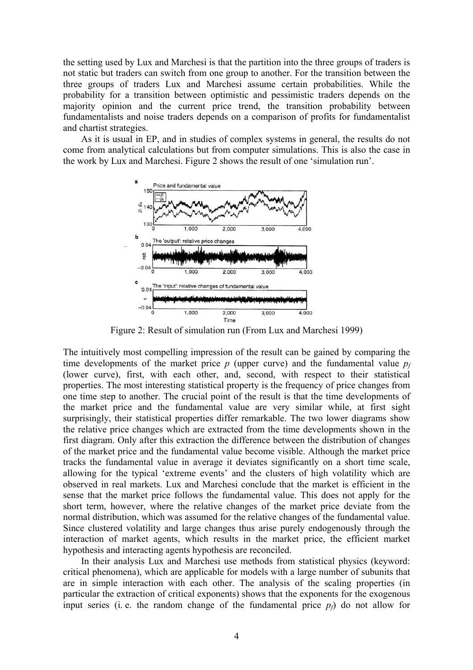the setting used by Lux and Marchesi is that the partition into the three groups of traders is not static but traders can switch from one group to another. For the transition between the three groups of traders Lux and Marchesi assume certain probabilities. While the probability for a transition between optimistic and pessimistic traders depends on the majority opinion and the current price trend, the transition probability between fundamentalists and noise traders depends on a comparison of profits for fundamentalist and chartist strategies.

As it is usual in EP, and in studies of complex systems in general, the results do not come from analytical calculations but from computer simulations. This is also the case in the work by Lux and Marchesi. Figure 2 shows the result of one 'simulation run'.



Figure 2: Result of simulation run (From Lux and Marchesi 1999)

The intuitively most compelling impression of the result can be gained by comparing the time developments of the market price  $p$  (upper curve) and the fundamental value  $p_f$ (lower curve), first, with each other, and, second, with respect to their statistical properties. The most interesting statistical property is the frequency of price changes from one time step to another. The crucial point of the result is that the time developments of the market price and the fundamental value are very similar while, at first sight surprisingly, their statistical properties differ remarkable. The two lower diagrams show the relative price changes which are extracted from the time developments shown in the first diagram. Only after this extraction the difference between the distribution of changes of the market price and the fundamental value become visible. Although the market price tracks the fundamental value in average it deviates significantly on a short time scale, allowing for the typical 'extreme events' and the clusters of high volatility which are observed in real markets. Lux and Marchesi conclude that the market is efficient in the sense that the market price follows the fundamental value. This does not apply for the short term, however, where the relative changes of the market price deviate from the normal distribution, which was assumed for the relative changes of the fundamental value. Since clustered volatility and large changes thus arise purely endogenously through the interaction of market agents, which results in the market price, the efficient market hypothesis and interacting agents hypothesis are reconciled.

In their analysis Lux and Marchesi use methods from statistical physics (keyword: critical phenomena), which are applicable for models with a large number of subunits that are in simple interaction with each other. The analysis of the scaling properties (in particular the extraction of critical exponents) shows that the exponents for the exogenous input series (i. e. the random change of the fundamental price  $p<sub>f</sub>$ ) do not allow for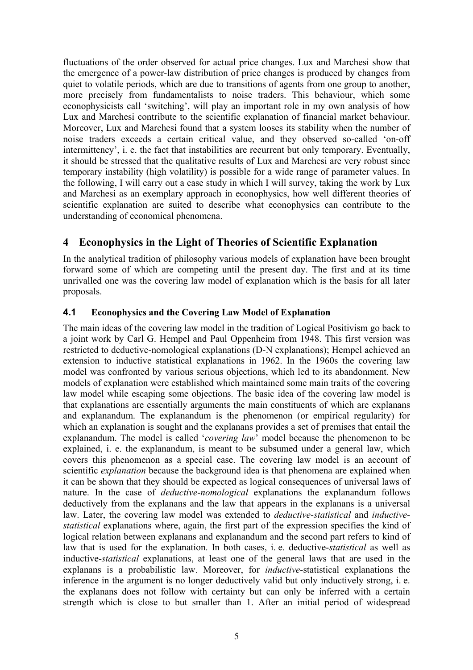fluctuations of the order observed for actual price changes. Lux and Marchesi show that the emergence of a power-law distribution of price changes is produced by changes from quiet to volatile periods, which are due to transitions of agents from one group to another, more precisely from fundamentalists to noise traders. This behaviour, which some econophysicists call 'switching', will play an important role in my own analysis of how Lux and Marchesi contribute to the scientific explanation of financial market behaviour. Moreover, Lux and Marchesi found that a system looses its stability when the number of noise traders exceeds a certain critical value, and they observed so-called 'on-off intermittency', i. e. the fact that instabilities are recurrent but only temporary. Eventually, it should be stressed that the qualitative results of Lux and Marchesi are very robust since temporary instability (high volatility) is possible for a wide range of parameter values. In the following, I will carry out a case study in which I will survey, taking the work by Lux and Marchesi as an exemplary approach in econophysics, how well different theories of scientific explanation are suited to describe what econophysics can contribute to the understanding of economical phenomena.

## **4 Econophysics in the Light of Theories of Scientific Explanation**

In the analytical tradition of philosophy various models of explanation have been brought forward some of which are competing until the present day. The first and at its time unrivalled one was the covering law model of explanation which is the basis for all later proposals.

### **4.1 Econophysics and the Covering Law Model of Explanation**

The main ideas of the covering law model in the tradition of Logical Positivism go back to a joint work by Carl G. Hempel and Paul Oppenheim from 1948. This first version was restricted to deductive-nomological explanations (D-N explanations); Hempel achieved an extension to inductive statistical explanations in 1962. In the 1960s the covering law model was confronted by various serious objections, which led to its abandonment. New models of explanation were established which maintained some main traits of the covering law model while escaping some objections. The basic idea of the covering law model is that explanations are essentially arguments the main constituents of which are explanans and explanandum. The explanandum is the phenomenon (or empirical regularity) for which an explanation is sought and the explanans provides a set of premises that entail the explanandum. The model is called '*covering law*' model because the phenomenon to be explained, i. e. the explanandum, is meant to be subsumed under a general law, which covers this phenomenon as a special case. The covering law model is an account of scientific *explanation* because the background idea is that phenomena are explained when it can be shown that they should be expected as logical consequences of universal laws of nature. In the case of *deductive-nomological* explanations the explanandum follows deductively from the explanans and the law that appears in the explanans is a universal law. Later, the covering law model was extended to *deductive-statistical* and *inductivestatistical* explanations where, again, the first part of the expression specifies the kind of logical relation between explanans and explanandum and the second part refers to kind of law that is used for the explanation. In both cases, i. e. deductive-*statistical* as well as inductive-*statistical* explanations, at least one of the general laws that are used in the explanans is a probabilistic law. Moreover, for *inductive-*statistical explanations the inference in the argument is no longer deductively valid but only inductively strong, i. e. the explanans does not follow with certainty but can only be inferred with a certain strength which is close to but smaller than 1. After an initial period of widespread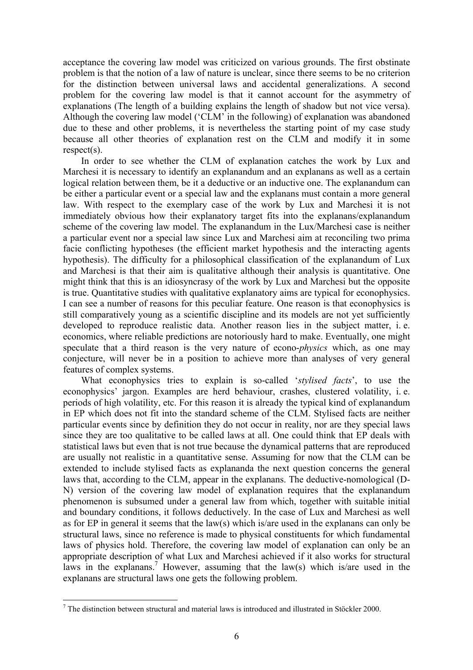acceptance the covering law model was criticized on various grounds. The first obstinate problem is that the notion of a law of nature is unclear, since there seems to be no criterion for the distinction between universal laws and accidental generalizations. A second problem for the covering law model is that it cannot account for the asymmetry of explanations (The length of a building explains the length of shadow but not vice versa). Although the covering law model ('CLM' in the following) of explanation was abandoned due to these and other problems, it is nevertheless the starting point of my case study because all other theories of explanation rest on the CLM and modify it in some respect(s).

In order to see whether the CLM of explanation catches the work by Lux and Marchesi it is necessary to identify an explanandum and an explanans as well as a certain logical relation between them, be it a deductive or an inductive one. The explanandum can be either a particular event or a special law and the explanans must contain a more general law. With respect to the exemplary case of the work by Lux and Marchesi it is not immediately obvious how their explanatory target fits into the explanans/explanandum scheme of the covering law model. The explanandum in the Lux/Marchesi case is neither a particular event nor a special law since Lux and Marchesi aim at reconciling two prima facie conflicting hypotheses (the efficient market hypothesis and the interacting agents hypothesis). The difficulty for a philosophical classification of the explanandum of Lux and Marchesi is that their aim is qualitative although their analysis is quantitative. One might think that this is an idiosyncrasy of the work by Lux and Marchesi but the opposite is true. Quantitative studies with qualitative explanatory aims are typical for econophysics. I can see a number of reasons for this peculiar feature. One reason is that econophysics is still comparatively young as a scientific discipline and its models are not yet sufficiently developed to reproduce realistic data. Another reason lies in the subject matter, i. e. economics, where reliable predictions are notoriously hard to make. Eventually, one might speculate that a third reason is the very nature of econo-*physics* which, as one may conjecture, will never be in a position to achieve more than analyses of very general features of complex systems.

What econophysics tries to explain is so-called '*stylised facts*', to use the econophysics' jargon. Examples are herd behaviour, crashes, clustered volatility, i. e. periods of high volatility, etc. For this reason it is already the typical kind of explanandum in EP which does not fit into the standard scheme of the CLM. Stylised facts are neither particular events since by definition they do not occur in reality, nor are they special laws since they are too qualitative to be called laws at all. One could think that EP deals with statistical laws but even that is not true because the dynamical patterns that are reproduced are usually not realistic in a quantitative sense. Assuming for now that the CLM can be extended to include stylised facts as explananda the next question concerns the general laws that, according to the CLM, appear in the explanans. The deductive-nomological (D-N) version of the covering law model of explanation requires that the explanandum phenomenon is subsumed under a general law from which, together with suitable initial and boundary conditions, it follows deductively. In the case of Lux and Marchesi as well as for EP in general it seems that the law(s) which is/are used in the explanans can only be structural laws, since no reference is made to physical constituents for which fundamental laws of physics hold. Therefore, the covering law model of explanation can only be an appropriate description of what Lux and Marchesi achieved if it also works for structural laws in the explanans.<sup>[7](#page-5-0)</sup> However, assuming that the law(s) which is/are used in the explanans are structural laws one gets the following problem.

<span id="page-5-0"></span><sup>&</sup>lt;sup>-</sup>  $7$  The distinction between structural and material laws is introduced and illustrated in Stöckler 2000.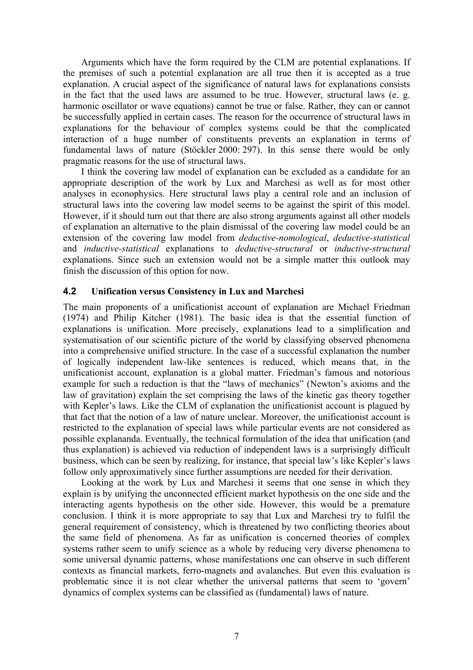Arguments which have the form required by the CLM are potential explanations. If the premises of such a potential explanation are all true then it is accepted as a true explanation. A crucial aspect of the significance of natural laws for explanations consists in the fact that the used laws are assumed to be true. However, structural laws (e. g. harmonic oscillator or wave equations) cannot be true or false. Rather, they can or cannot be successfully applied in certain cases. The reason for the occurrence of structural laws in explanations for the behaviour of complex systems could be that the complicated interaction of a huge number of constituents prevents an explanation in terms of fundamental laws of nature (Stöckler 2000: 297). In this sense there would be only pragmatic reasons for the use of structural laws.

I think the covering law model of explanation can be excluded as a candidate for an appropriate description of the work by Lux and Marchesi as well as for most other analyses in econophysics. Here structural laws play a central role and an inclusion of structural laws into the covering law model seems to be against the spirit of this model. However, if it should turn out that there are also strong arguments against all other models of explanation an alternative to the plain dismissal of the covering law model could be an extension of the covering law model from *deductive-nomological*, *deductive-statistical* and *inductive-statistical* explanations to *deductive-structural* or *inductive-structural* explanations. Since such an extension would not be a simple matter this outlook may finish the discussion of this option for now.

### **4.2 Unification versus Consistency in Lux and Marchesi**

The main proponents of a unificationist account of explanation are Michael Friedman (1974) and Philip Kitcher (1981). The basic idea is that the essential function of explanations is unification. More precisely, explanations lead to a simplification and systematisation of our scientific picture of the world by classifying observed phenomena into a comprehensive unified structure. In the case of a successful explanation the number of logically independent law-like sentences is reduced, which means that, in the unificationist account, explanation is a global matter. Friedman's famous and notorious example for such a reduction is that the "laws of mechanics" (Newton's axioms and the law of gravitation) explain the set comprising the laws of the kinetic gas theory together with Kepler's laws. Like the CLM of explanation the unificationist account is plagued by that fact that the notion of a law of nature unclear. Moreover, the unificationist account is restricted to the explanation of special laws while particular events are not considered as possible explananda. Eventually, the technical formulation of the idea that unification (and thus explanation) is achieved via reduction of independent laws is a surprisingly difficult business, which can be seen by realizing, for instance, that special law's like Kepler's laws follow only approximatively since further assumptions are needed for their derivation.

Looking at the work by Lux and Marchesi it seems that one sense in which they explain is by unifying the unconnected efficient market hypothesis on the one side and the interacting agents hypothesis on the other side. However, this would be a premature conclusion. I think it is more appropriate to say that Lux and Marchesi try to fulfil the general requirement of consistency, which is threatened by two conflicting theories about the same field of phenomena. As far as unification is concerned theories of complex systems rather seem to unify science as a whole by reducing very diverse phenomena to some universal dynamic patterns, whose manifestations one can observe in such different contexts as financial markets, ferro-magnets and avalanches. But even this evaluation is problematic since it is not clear whether the universal patterns that seem to 'govern' dynamics of complex systems can be classified as (fundamental) laws of nature.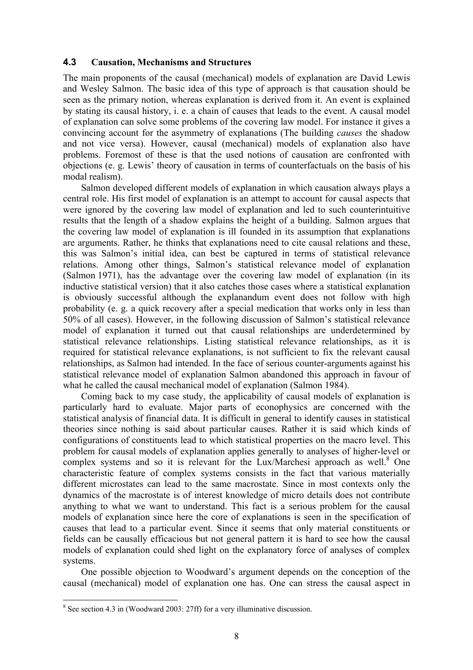### **4.3 Causation, Mechanisms and Structures**

The main proponents of the causal (mechanical) models of explanation are David Lewis and Wesley Salmon. The basic idea of this type of approach is that causation should be seen as the primary notion, whereas explanation is derived from it. An event is explained by stating its causal history, i. e. a chain of causes that leads to the event. A causal model of explanation can solve some problems of the covering law model. For instance it gives a convincing account for the asymmetry of explanations (The building *causes* the shadow and not vice versa). However, causal (mechanical) models of explanation also have problems. Foremost of these is that the used notions of causation are confronted with objections (e. g. Lewis' theory of causation in terms of counterfactuals on the basis of his modal realism).

Salmon developed different models of explanation in which causation always plays a central role. His first model of explanation is an attempt to account for causal aspects that were ignored by the covering law model of explanation and led to such counterintuitive results that the length of a shadow explains the height of a building. Salmon argues that the covering law model of explanation is ill founded in its assumption that explanations are arguments. Rather, he thinks that explanations need to cite causal relations and these, this was Salmon's initial idea, can best be captured in terms of statistical relevance relations. Among other things, Salmon's statistical relevance model of explanation (Salmon 1971), has the advantage over the covering law model of explanation (in its inductive statistical version) that it also catches those cases where a statistical explanation is obviously successful although the explanandum event does not follow with high probability (e. g. a quick recovery after a special medication that works only in less than 50% of all cases). However, in the following discussion of Salmon's statistical relevance model of explanation it turned out that causal relationships are underdetermined by statistical relevance relationships. Listing statistical relevance relationships, as it is required for statistical relevance explanations, is not sufficient to fix the relevant causal relationships, as Salmon had intended. In the face of serious counter-arguments against his statistical relevance model of explanation Salmon abandoned this approach in favour of what he called the causal mechanical model of explanation (Salmon 1984).

Coming back to my case study, the applicability of causal models of explanation is particularly hard to evaluate. Major parts of econophysics are concerned with the statistical analysis of financial data. It is difficult in general to identify causes in statistical theories since nothing is said about particular causes. Rather it is said which kinds of configurations of constituents lead to which statistical properties on the macro level. This problem for causal models of explanation applies generally to analyses of higher-level or complex systems and so it is relevant for the Lux/Marchesi approach as well.<sup>[8](#page-7-0)</sup> One characteristic feature of complex systems consists in the fact that various materially different microstates can lead to the same macrostate. Since in most contexts only the dynamics of the macrostate is of interest knowledge of micro details does not contribute anything to what we want to understand. This fact is a serious problem for the causal models of explanation since here the core of explanations is seen in the specification of causes that lead to a particular event. Since it seems that only material constituents or fields can be causally efficacious but not general pattern it is hard to see how the causal models of explanation could shed light on the explanatory force of analyses of complex systems.

One possible objection to Woodward's argument depends on the conception of the causal (mechanical) model of explanation one has. One can stress the causal aspect in

<span id="page-7-0"></span> <sup>8</sup>  $8$  See section 4.3 in (Woodward 2003: 27ff) for a very illuminative discussion.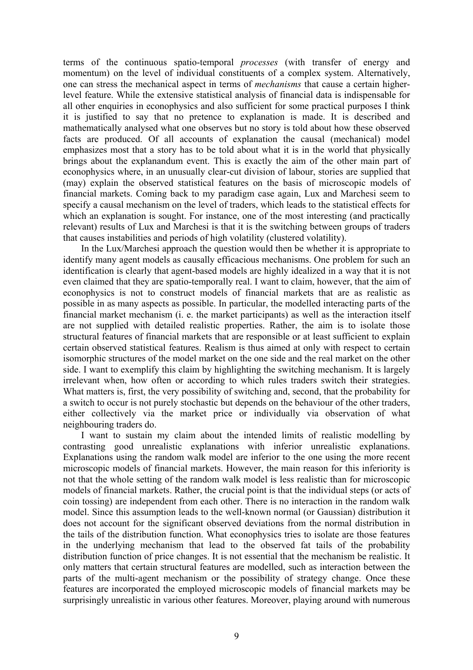terms of the continuous spatio-temporal *processes* (with transfer of energy and momentum) on the level of individual constituents of a complex system. Alternatively, one can stress the mechanical aspect in terms of *mechanisms* that cause a certain higherlevel feature. While the extensive statistical analysis of financial data is indispensable for all other enquiries in econophysics and also sufficient for some practical purposes I think it is justified to say that no pretence to explanation is made. It is described and mathematically analysed what one observes but no story is told about how these observed facts are produced. Of all accounts of explanation the causal (mechanical) model emphasizes most that a story has to be told about what it is in the world that physically brings about the explanandum event. This is exactly the aim of the other main part of econophysics where, in an unusually clear-cut division of labour, stories are supplied that (may) explain the observed statistical features on the basis of microscopic models of financial markets. Coming back to my paradigm case again, Lux and Marchesi seem to specify a causal mechanism on the level of traders, which leads to the statistical effects for which an explanation is sought. For instance, one of the most interesting (and practically relevant) results of Lux and Marchesi is that it is the switching between groups of traders that causes instabilities and periods of high volatility (clustered volatility).

In the Lux/Marchesi approach the question would then be whether it is appropriate to identify many agent models as causally efficacious mechanisms. One problem for such an identification is clearly that agent-based models are highly idealized in a way that it is not even claimed that they are spatio-temporally real. I want to claim, however, that the aim of econophysics is not to construct models of financial markets that are as realistic as possible in as many aspects as possible. In particular, the modelled interacting parts of the financial market mechanism (i. e. the market participants) as well as the interaction itself are not supplied with detailed realistic properties. Rather, the aim is to isolate those structural features of financial markets that are responsible or at least sufficient to explain certain observed statistical features. Realism is thus aimed at only with respect to certain isomorphic structures of the model market on the one side and the real market on the other side. I want to exemplify this claim by highlighting the switching mechanism. It is largely irrelevant when, how often or according to which rules traders switch their strategies. What matters is, first, the very possibility of switching and, second, that the probability for a switch to occur is not purely stochastic but depends on the behaviour of the other traders, either collectively via the market price or individually via observation of what neighbouring traders do.

I want to sustain my claim about the intended limits of realistic modelling by contrasting good unrealistic explanations with inferior unrealistic explanations. Explanations using the random walk model are inferior to the one using the more recent microscopic models of financial markets. However, the main reason for this inferiority is not that the whole setting of the random walk model is less realistic than for microscopic models of financial markets. Rather, the crucial point is that the individual steps (or acts of coin tossing) are independent from each other. There is no interaction in the random walk model. Since this assumption leads to the well-known normal (or Gaussian) distribution it does not account for the significant observed deviations from the normal distribution in the tails of the distribution function. What econophysics tries to isolate are those features in the underlying mechanism that lead to the observed fat tails of the probability distribution function of price changes. It is not essential that the mechanism be realistic. It only matters that certain structural features are modelled, such as interaction between the parts of the multi-agent mechanism or the possibility of strategy change. Once these features are incorporated the employed microscopic models of financial markets may be surprisingly unrealistic in various other features. Moreover, playing around with numerous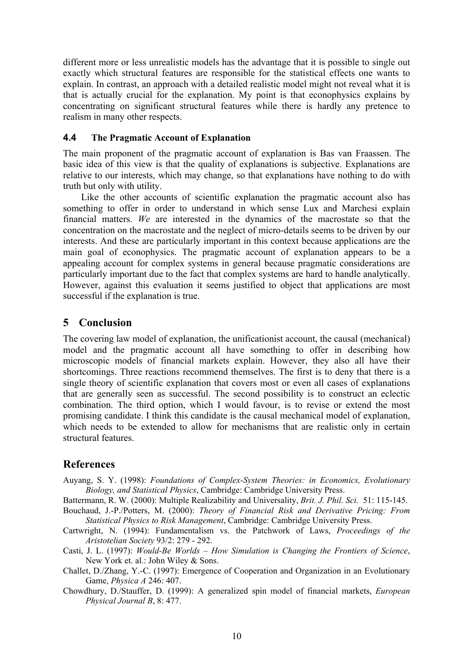different more or less unrealistic models has the advantage that it is possible to single out exactly which structural features are responsible for the statistical effects one wants to explain. In contrast, an approach with a detailed realistic model might not reveal what it is that is actually crucial for the explanation. My point is that econophysics explains by concentrating on significant structural features while there is hardly any pretence to realism in many other respects.

#### **4.4 The Pragmatic Account of Explanation**

The main proponent of the pragmatic account of explanation is Bas van Fraassen. The basic idea of this view is that the quality of explanations is subjective. Explanations are relative to our interests, which may change, so that explanations have nothing to do with truth but only with utility.

Like the other accounts of scientific explanation the pragmatic account also has something to offer in order to understand in which sense Lux and Marchesi explain financial matters. *We* are interested in the dynamics of the macrostate so that the concentration on the macrostate and the neglect of micro-details seems to be driven by our interests. And these are particularly important in this context because applications are the main goal of econophysics. The pragmatic account of explanation appears to be a appealing account for complex systems in general because pragmatic considerations are particularly important due to the fact that complex systems are hard to handle analytically. However, against this evaluation it seems justified to object that applications are most successful if the explanation is true.

## **5 Conclusion**

The covering law model of explanation, the unificationist account, the causal (mechanical) model and the pragmatic account all have something to offer in describing how microscopic models of financial markets explain. However, they also all have their shortcomings. Three reactions recommend themselves. The first is to deny that there is a single theory of scientific explanation that covers most or even all cases of explanations that are generally seen as successful. The second possibility is to construct an eclectic combination. The third option, which I would favour, is to revise or extend the most promising candidate. I think this candidate is the causal mechanical model of explanation, which needs to be extended to allow for mechanisms that are realistic only in certain structural features.

## **References**

Auyang, S. Y. (1998): *Foundations of Complex-System Theories: in Economics, Evolutionary Biology, and Statistical Physics*, Cambridge: Cambridge University Press.

Battermann, R. W. (2000): Multiple Realizability and Universality, *Brit. J. Phil. Sci.* 51: 115-145.

- Bouchaud, J.-P./Potters, M. (2000): *Theory of Financial Risk and Derivative Pricing: From Statistical Physics to Risk Management*, Cambridge: Cambridge University Press.
- Cartwright, N. (1994): Fundamentalism vs. the Patchwork of Laws, *Proceedings of the Aristotelian Society* 93/2: 279 - 292.
- Casti, J. L. (1997): *Would-Be Worlds How Simulation is Changing the Frontiers of Science*, New York et. al.: John Wiley & Sons.
- Challet, D./Zhang, Y.-C. (1997): Emergence of Cooperation and Organization in an Evolutionary Game, *Physica A* 246: 407.
- Chowdhury, D./Stauffer, D. (1999): A generalized spin model of financial markets, *European Physical Journal B*, 8: 477.